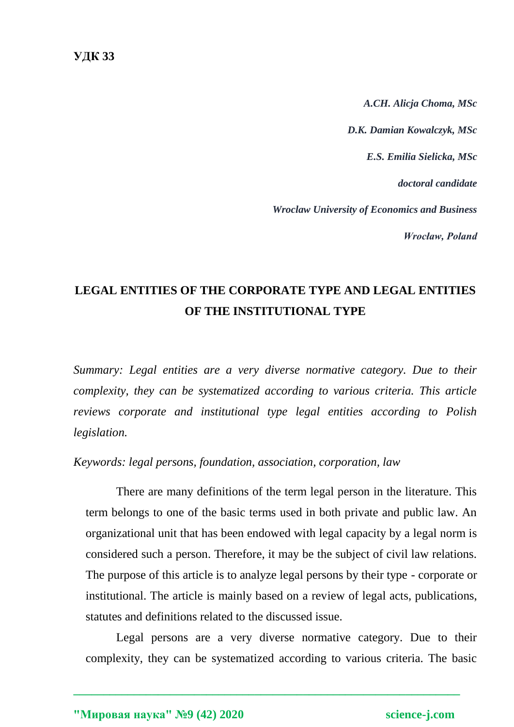*A.CH. Alicja Choma, MSc D.K. Damian Kowalczyk, MSc E.S. Emilia Sielicka, MSc doctoral candidate Wroclaw University of Economics and Business Wrocław, Poland*

# **LEGAL ENTITIES OF THE CORPORATE TYPE AND LEGAL ENTITIES OF THE INSTITUTIONAL TYPE**

*Summary: Legal entities are a very diverse normative category. Due to their complexity, they can be systematized according to various criteria. This article reviews corporate and institutional type legal entities according to Polish legislation.*

## *Keywords: legal persons, foundation, association, corporation, law*

There are many definitions of the term legal person in the literature. This term belongs to one of the basic terms used in both private and public law. An organizational unit that has been endowed with legal capacity by a legal norm is considered such a person. Therefore, it may be the subject of civil law relations. The purpose of this article is to analyze legal persons by their type - corporate or institutional. The article is mainly based on a review of legal acts, publications, statutes and definitions related to the discussed issue.

Legal persons are a very diverse normative category. Due to their complexity, they can be systematized according to various criteria. The basic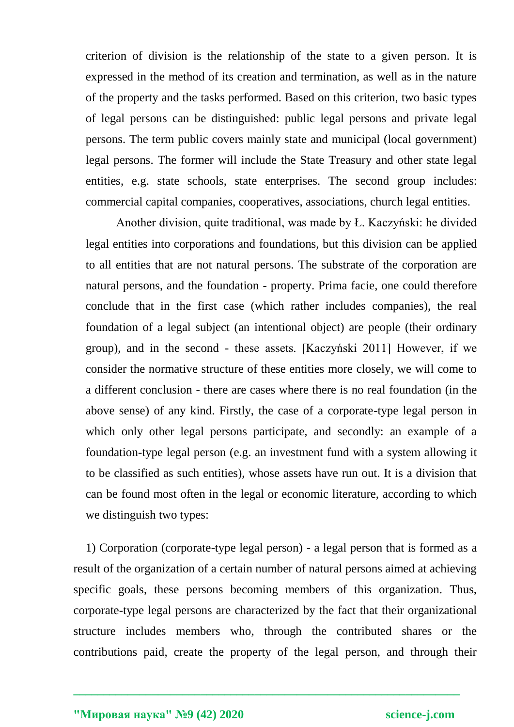criterion of division is the relationship of the state to a given person. It is expressed in the method of its creation and termination, as well as in the nature of the property and the tasks performed. Based on this criterion, two basic types of legal persons can be distinguished: public legal persons and private legal persons. The term public covers mainly state and municipal (local government) legal persons. The former will include the State Treasury and other state legal entities, e.g. state schools, state enterprises. The second group includes: commercial capital companies, cooperatives, associations, church legal entities.

Another division, quite traditional, was made by Ł. Kaczyński: he divided legal entities into corporations and foundations, but this division can be applied to all entities that are not natural persons. The substrate of the corporation are natural persons, and the foundation - property. Prima facie, one could therefore conclude that in the first case (which rather includes companies), the real foundation of a legal subject (an intentional object) are people (their ordinary group), and in the second - these assets. [Kaczyński 2011] However, if we consider the normative structure of these entities more closely, we will come to a different conclusion - there are cases where there is no real foundation (in the above sense) of any kind. Firstly, the case of a corporate-type legal person in which only other legal persons participate, and secondly: an example of a foundation-type legal person (e.g. an investment fund with a system allowing it to be classified as such entities), whose assets have run out. It is a division that can be found most often in the legal or economic literature, according to which we distinguish two types:

1) Corporation (corporate-type legal person) - a legal person that is formed as a result of the organization of a certain number of natural persons aimed at achieving specific goals, these persons becoming members of this organization. Thus, corporate-type legal persons are characterized by the fact that their organizational structure includes members who, through the contributed shares or the contributions paid, create the property of the legal person, and through their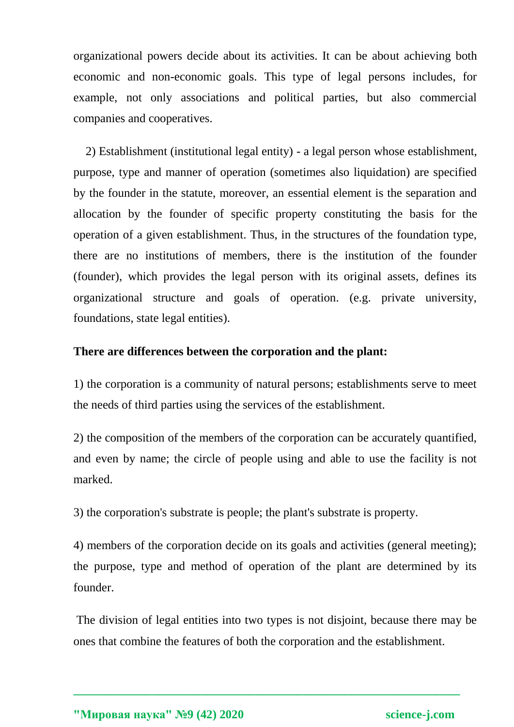organizational powers decide about its activities. It can be about achieving both economic and non-economic goals. This type of legal persons includes, for example, not only associations and political parties, but also commercial companies and cooperatives.

2) Establishment (institutional legal entity) - a legal person whose establishment, purpose, type and manner of operation (sometimes also liquidation) are specified by the founder in the statute, moreover, an essential element is the separation and allocation by the founder of specific property constituting the basis for the operation of a given establishment. Thus, in the structures of the foundation type, there are no institutions of members, there is the institution of the founder (founder), which provides the legal person with its original assets, defines its organizational structure and goals of operation. (e.g. private university, foundations, state legal entities).

## **There are differences between the corporation and the plant:**

1) the corporation is a community of natural persons; establishments serve to meet the needs of third parties using the services of the establishment.

2) the composition of the members of the corporation can be accurately quantified, and even by name; the circle of people using and able to use the facility is not marked.

3) the corporation's substrate is people; the plant's substrate is property.

4) members of the corporation decide on its goals and activities (general meeting); the purpose, type and method of operation of the plant are determined by its founder.

The division of legal entities into two types is not disjoint, because there may be ones that combine the features of both the corporation and the establishment.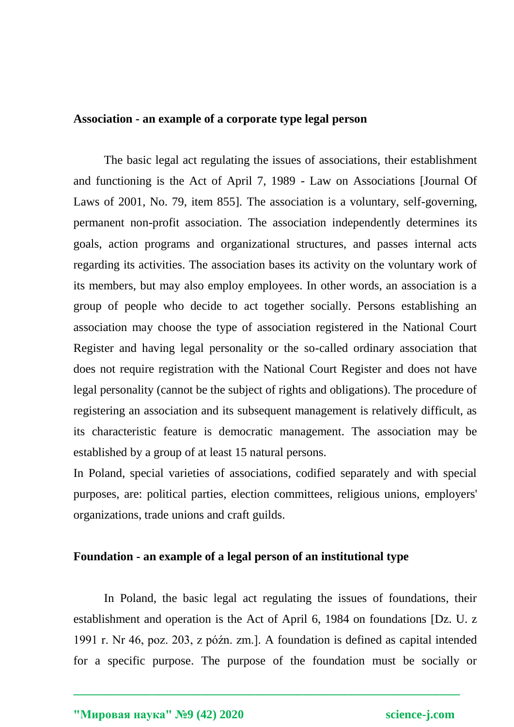## **Association - an example of a corporate type legal person**

The basic legal act regulating the issues of associations, their establishment and functioning is the Act of April 7, 1989 - Law on Associations [Journal Of Laws of 2001, No. 79, item 855]. The association is a voluntary, self-governing, permanent non-profit association. The association independently determines its goals, action programs and organizational structures, and passes internal acts regarding its activities. The association bases its activity on the voluntary work of its members, but may also employ employees. In other words, an association is a group of people who decide to act together socially. Persons establishing an association may choose the type of association registered in the National Court Register and having legal personality or the so-called ordinary association that does not require registration with the National Court Register and does not have legal personality (cannot be the subject of rights and obligations). The procedure of registering an association and its subsequent management is relatively difficult, as its characteristic feature is democratic management. The association may be established by a group of at least 15 natural persons.

In Poland, special varieties of associations, codified separately and with special purposes, are: political parties, election committees, religious unions, employers' organizations, trade unions and craft guilds.

## **Foundation - an example of a legal person of an institutional type**

In Poland, the basic legal act regulating the issues of foundations, their establishment and operation is the Act of April 6, 1984 on foundations [Dz. U. z 1991 r. Nr 46, poz. 203, z późn. zm.]. A foundation is defined as capital intended for a specific purpose. The purpose of the foundation must be socially or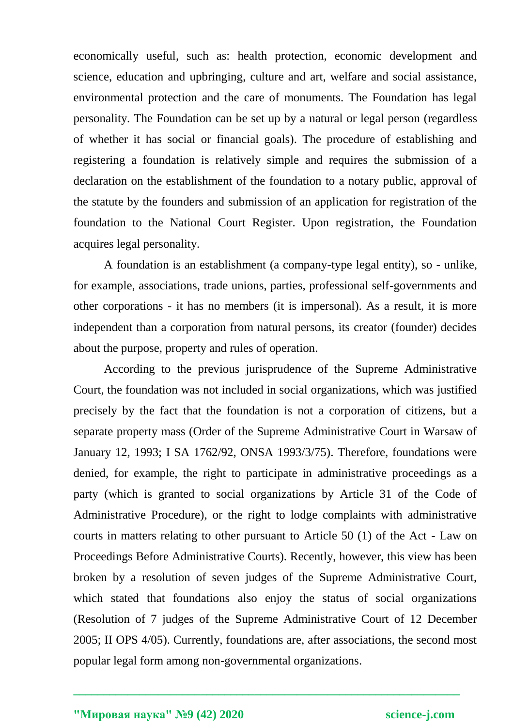economically useful, such as: health protection, economic development and science, education and upbringing, culture and art, welfare and social assistance, environmental protection and the care of monuments. The Foundation has legal personality. The Foundation can be set up by a natural or legal person (regardless of whether it has social or financial goals). The procedure of establishing and registering a foundation is relatively simple and requires the submission of a declaration on the establishment of the foundation to a notary public, approval of the statute by the founders and submission of an application for registration of the foundation to the National Court Register. Upon registration, the Foundation acquires legal personality.

A foundation is an establishment (a company-type legal entity), so - unlike, for example, associations, trade unions, parties, professional self-governments and other corporations - it has no members (it is impersonal). As a result, it is more independent than a corporation from natural persons, its creator (founder) decides about the purpose, property and rules of operation.

According to the previous jurisprudence of the Supreme Administrative Court, the foundation was not included in social organizations, which was justified precisely by the fact that the foundation is not a corporation of citizens, but a separate property mass (Order of the Supreme Administrative Court in Warsaw of January 12, 1993; I SA 1762/92, ONSA 1993/3/75). Therefore, foundations were denied, for example, the right to participate in administrative proceedings as a party (which is granted to social organizations by Article 31 of the Code of Administrative Procedure), or the right to lodge complaints with administrative courts in matters relating to other pursuant to Article 50 (1) of the Act - Law on Proceedings Before Administrative Courts). Recently, however, this view has been broken by a resolution of seven judges of the Supreme Administrative Court, which stated that foundations also enjoy the status of social organizations (Resolution of 7 judges of the Supreme Administrative Court of 12 December 2005; II OPS 4/05). Currently, foundations are, after associations, the second most popular legal form among non-governmental organizations.